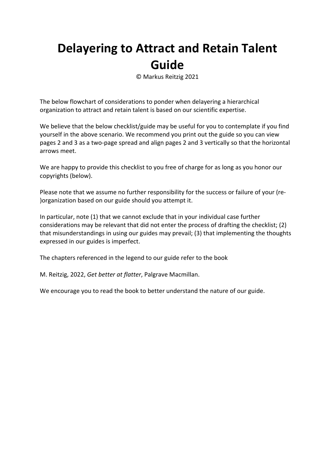# **Delayering to Attract and Retain Talent Guide**

© Markus Reitzig 2021

The below flowchart of considerations to ponder when delayering a hierarchical organization to attract and retain talent is based on our scientific expertise.

We believe that the below checklist/guide may be useful for you to contemplate if you find yourself in the above scenario. We recommend you print out the guide so you can view pages 2 and 3 as a two‐page spread and align pages 2 and 3 vertically so that the horizontal arrows meet.

We are happy to provide this checklist to you free of charge for as long as you honor our copyrights (below).

Please note that we assume no further responsibility for the success or failure of your (re‐ )organization based on our guide should you attempt it.

In particular, note (1) that we cannot exclude that in your individual case further considerations may be relevant that did not enter the process of drafting the checklist; (2) that misunderstandings in using our guides may prevail; (3) that implementing the thoughts expressed in our guides is imperfect.

The chapters referenced in the legend to our guide refer to the book

M. Reitzig, 2022, *Get better at flatter*, Palgrave Macmillan.

We encourage you to read the book to better understand the nature of our guide.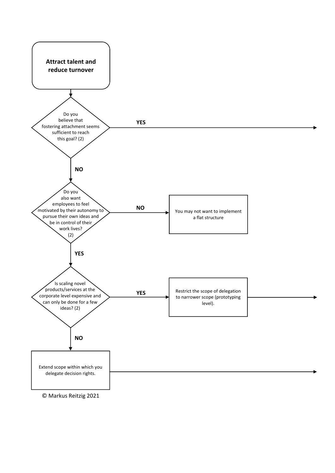